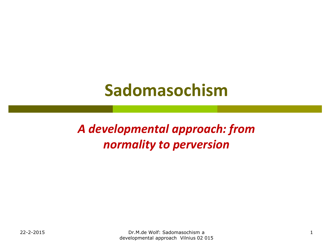# **Sadomasochism**

*A developmental approach: from normality to perversion*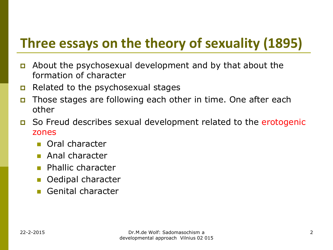## **Three essays on the theory of sexuality (1895)**

- About the psychosexual development and by that about the formation of character
- $\Box$  Related to the psychosexual stages
- Those stages are following each other in time. One after each other
- So Freud describes sexual development related to the erotogenic zones
	- **n** Oral character
	- **Anal character**
	- **Phallic character**
	- Oedipal character
	- Genital character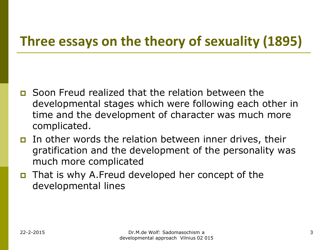## **Three essays on the theory of sexuality (1895)**

- Soon Freud realized that the relation between the developmental stages which were following each other in time and the development of character was much more complicated.
- In other words the relation between inner drives, their gratification and the development of the personality was much more complicated
- That is why A.Freud developed her concept of the developmental lines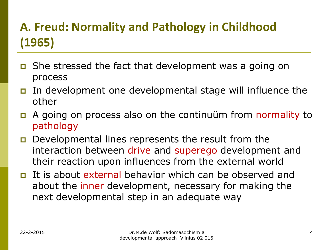- She stressed the fact that development was a going on process
- In development one developmental stage will influence the other
- A going on process also on the continuüm from normality to pathology
- **D** Developmental lines represents the result from the interaction between drive and superego development and their reaction upon influences from the external world
- It is about external behavior which can be observed and about the inner development, necessary for making the next developmental step in an adequate way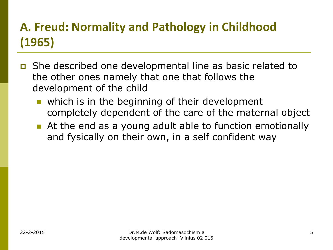- She described one developmental line as basic related to the other ones namely that one that follows the development of the child
	- which is in the beginning of their development completely dependent of the care of the maternal object
	- At the end as a young adult able to function emotionally and fysically on their own, in a self confident way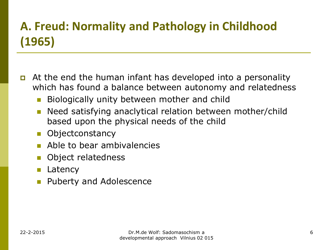- At the end the human infant has developed into a personality which has found a balance between autonomy and relatedness
	- Biologically unity between mother and child
	- **Need satisfying anaclytical relation between mother/child** based upon the physical needs of the child
	- **Diectconstancy**
	- **Able to bear ambivalencies**
	- Object relatedness
	- **Latency**
	- Puberty and Adolescence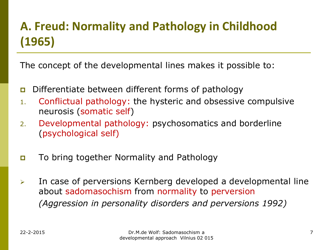The concept of the developmental lines makes it possible to:

- Differentiate between different forms of pathology
- 1. Conflictual pathology: the hysteric and obsessive compulsive neurosis (somatic self)
- 2. Developmental pathology: psychosomatics and borderline (psychological self)
- To bring together Normality and Pathology
- $\triangleright$  In case of perversions Kernberg developed a developmental line about sadomasochism from normality to perversion *(Aggression in personality disorders and perversions 1992)*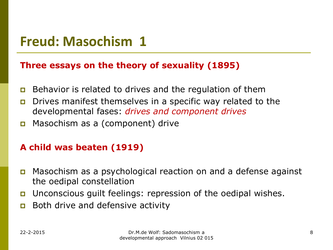#### **Three essays on the theory of sexuality (1895)**

- **Behavior is related to drives and the regulation of them**
- **D** Drives manifest themselves in a specific way related to the developmental fases: *drives and component drives*
- **D** Masochism as a (component) drive

#### **A child was beaten (1919)**

- Masochism as a psychological reaction on and a defense against the oedipal constellation
- Unconscious guilt feelings: repression of the oedipal wishes.
- **Both drive and defensive activity**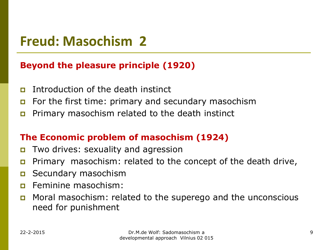### **Beyond the pleasure principle (1920)**

- Introduction of the death instinct
- For the first time: primary and secundary masochism
- **p** Primary masochism related to the death instinct

### **The Economic problem of masochism (1924)**

- Two drives: sexuality and agression
- **p** Primary masochism: related to the concept of the death drive,
- **D** Secundary masochism
- **<u>n</u>** Feminine masochism:
- Moral masochism: related to the superego and the unconscious need for punishment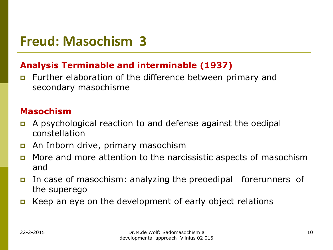### **Analysis Terminable and interminable (1937)**

**EXECUTE:** Further elaboration of the difference between primary and secondary masochisme

### **Masochism**

- A psychological reaction to and defense against the oedipal constellation
- An Inborn drive, primary masochism
- More and more attention to the narcissistic aspects of masochism and
- In case of masochism: analyzing the preoedipal forerunners of the superego
- **E** Keep an eye on the development of early object relations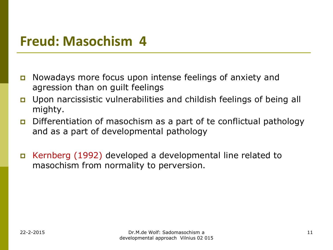- **n** Nowadays more focus upon intense feelings of anxiety and agression than on guilt feelings
- Upon narcissistic vulnerabilities and childish feelings of being all mighty.
- Differentiation of masochism as a part of te conflictual pathology and as a part of developmental pathology
- Kernberg (1992) developed a developmental line related to masochism from normality to perversion.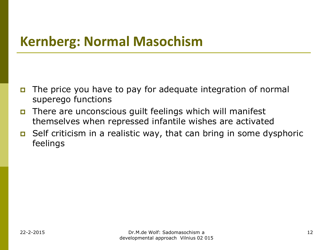## **Kernberg: Normal Masochism**

- The price you have to pay for adequate integration of normal superego functions
- There are unconscious guilt feelings which will manifest themselves when repressed infantile wishes are activated
- $\Box$  Self criticism in a realistic way, that can bring in some dysphoric feelings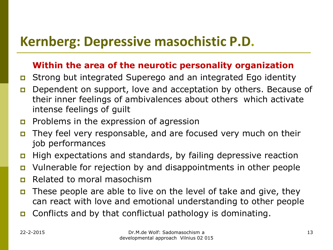## **Kernberg: Depressive masochistic P.D.**

#### **Within the area of the neurotic personality organization**

- Strong but integrated Superego and an integrated Ego identity
- Dependent on support, love and acceptation by others. Because of their inner feelings of ambivalences about others which activate intense feelings of guilt
- **Problems in the expression of agression**
- They feel very responsable, and are focused very much on their job performances
- High expectations and standards, by failing depressive reaction
- Vulnerable for rejection by and disappointments in other people
- **Related to moral masochism**
- These people are able to live on the level of take and give, they can react with love and emotional understanding to other people
- **n** Conflicts and by that conflictual pathology is dominating.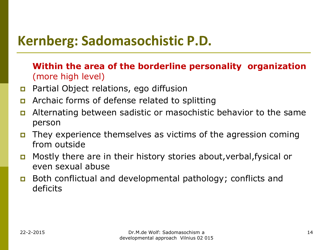## **Kernberg: Sadomasochistic P.D.**

### **Within the area of the borderline personality organization** (more high level)

- **Partial Object relations, ego diffusion**
- **EXT** Archaic forms of defense related to splitting
- Alternating between sadistic or masochistic behavior to the same person
- They experience themselves as victims of the agression coming from outside
- Mostly there are in their history stories about,verbal,fysical or even sexual abuse
- Both conflictual and developmental pathology; conflicts and deficits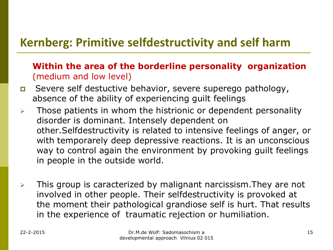### **Kernberg: Primitive selfdestructivity and self harm**

### **Within the area of the borderline personality organization** (medium and low level)

- Severe self destuctive behavior, severe superego pathology, absence of the ability of experiencing guilt feelings
- $\triangleright$  Those patients in whom the histrionic or dependent personality disorder is dominant. Intensely dependent on other.Selfdestructivity is related to intensive feelings of anger, or with temporarely deep depressive reactions. It is an unconscious way to control again the environment by provoking guilt feelings in people in the outside world.
- $\triangleright$  This group is caracterized by malignant narcissism. They are not involved in other people. Their selfdestructivity is provoked at the moment their pathological grandiose self is hurt. That results in the experience of traumatic rejection or humiliation.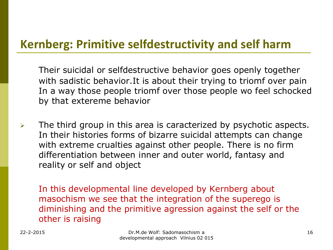### **Kernberg: Primitive selfdestructivity and self harm**

Their suicidal or selfdestructive behavior goes openly together with sadistic behavior.It is about their trying to triomf over pain In a way those people triomf over those people wo feel schocked by that extereme behavior

 $\triangleright$  The third group in this area is caracterized by psychotic aspects. In their histories forms of bizarre suicidal attempts can change with extreme crualties against other people. There is no firm differentiation between inner and outer world, fantasy and reality or self and object

In this developmental line developed by Kernberg about masochism we see that the integration of the superego is diminishing and the primitive agression against the self or the other is raising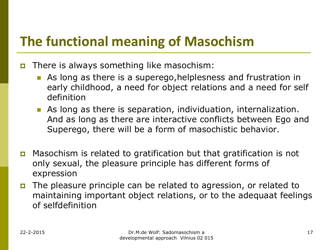## **The functional meaning of Masochism**

There is always something like masochism:

- As long as there is a superego,helplesness and frustration in early childhood, a need for object relations and a need for self definition
- As long as there is separation, individuation, internalization. And as long as there are interactive conflicts between Ego and Superego, there will be a form of masochistic behavior.
- Masochism is related to gratification but that gratification is not only sexual, the pleasure principle has different forms of expression
- The pleasure principle can be related to agression, or related to maintaining important object relations, or to the adequaat feelings of selfdefinition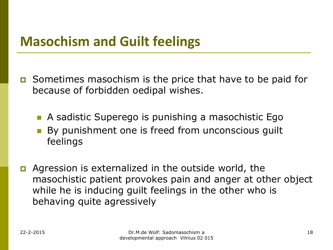## **Masochism and Guilt feelings**

- $\Box$  Sometimes masochism is the price that have to be paid for because of forbidden oedipal wishes.
	- **A** sadistic Superego is punishing a masochistic Ego
	- By punishment one is freed from unconscious guilt feelings
- **D** Agression is externalized in the outside world, the masochistic patient provokes pain and anger at other object while he is inducing guilt feelings in the other who is behaving quite agressively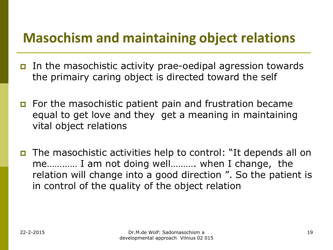## **Masochism and maintaining object relations**

- In the masochistic activity prae-oedipal agression towards the primairy caring object is directed toward the self
- For the masochistic patient pain and frustration became equal to get love and they get a meaning in maintaining vital object relations
- The masochistic activities help to control: "It depends all on me………… I am not doing well………. when I change, the relation will change into a good direction ". So the patient is in control of the quality of the object relation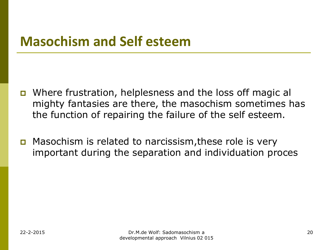## **Masochism and Self esteem**

- Where frustration, helplesness and the loss off magic al mighty fantasies are there, the masochism sometimes has the function of repairing the failure of the self esteem.
- **D** Masochism is related to narcissism, these role is very important during the separation and individuation proces